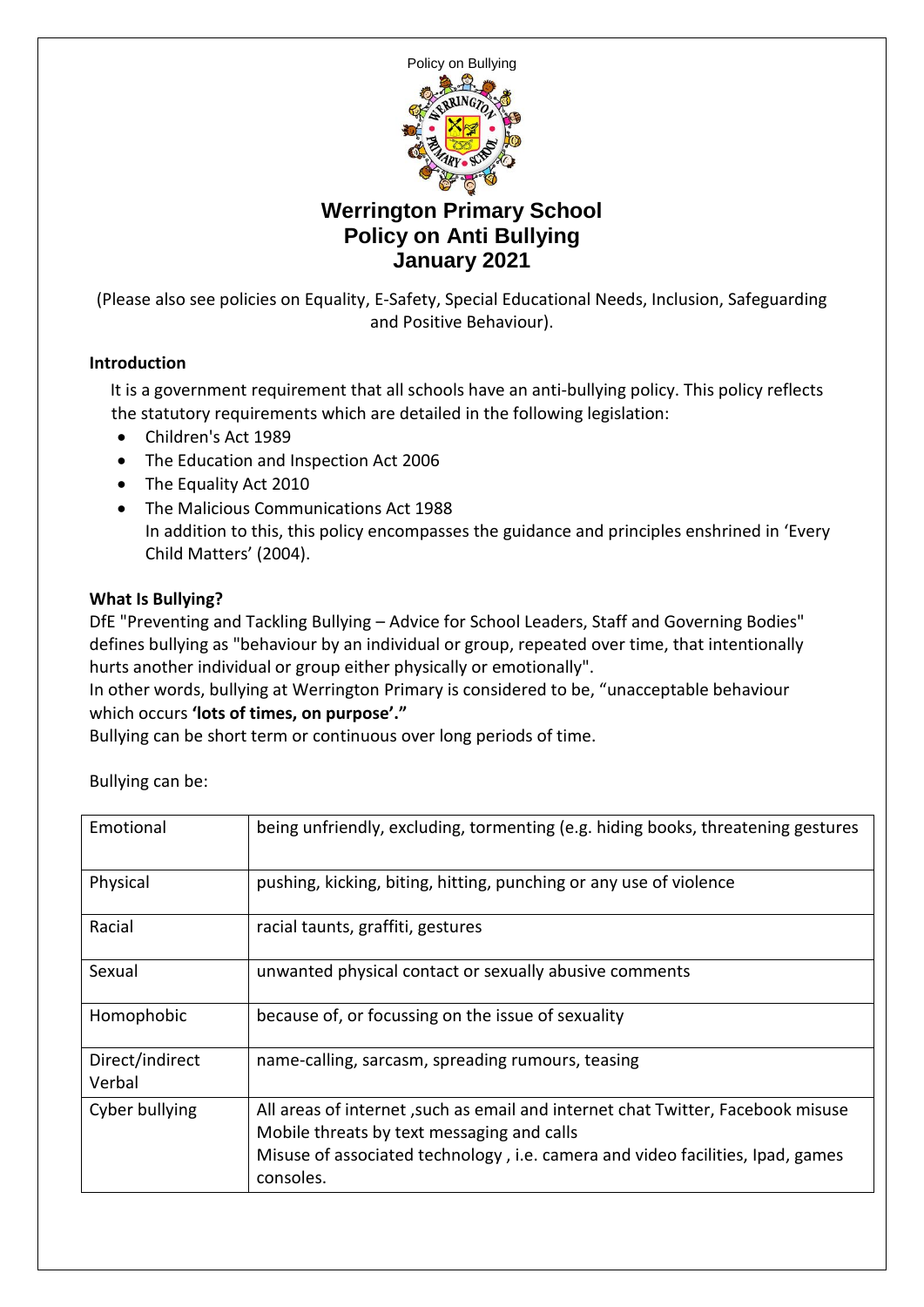

(Please also see policies on Equality, E-Safety, Special Educational Needs, Inclusion, Safeguarding and Positive Behaviour).

### **Introduction**

 It is a government requirement that all schools have an anti-bullying policy. This policy reflects the statutory requirements which are detailed in the following legislation:

- Children's Act 1989
- The Education and Inspection Act 2006
- The Equality Act 2010
- The Malicious Communications Act 1988 In addition to this, this policy encompasses the guidance and principles enshrined in 'Every Child Matters' (2004).

### **What Is Bullying?**

DfE "Preventing and Tackling Bullying – Advice for School Leaders, Staff and Governing Bodies" defines bullying as "behaviour by an individual or group, repeated over time, that intentionally hurts another individual or group either physically or emotionally".

In other words, bullying at Werrington Primary is considered to be, "unacceptable behaviour which occurs **'lots of times, on purpose'."**

Bullying can be short term or continuous over long periods of time.

| Bullying can be: |  |
|------------------|--|
|------------------|--|

| Emotional                 | being unfriendly, excluding, tormenting (e.g. hiding books, threatening gestures                                                                                                                                             |
|---------------------------|------------------------------------------------------------------------------------------------------------------------------------------------------------------------------------------------------------------------------|
| Physical                  | pushing, kicking, biting, hitting, punching or any use of violence                                                                                                                                                           |
| Racial                    | racial taunts, graffiti, gestures                                                                                                                                                                                            |
| Sexual                    | unwanted physical contact or sexually abusive comments                                                                                                                                                                       |
| Homophobic                | because of, or focussing on the issue of sexuality                                                                                                                                                                           |
| Direct/indirect<br>Verbal | name-calling, sarcasm, spreading rumours, teasing                                                                                                                                                                            |
| Cyber bullying            | All areas of internet, such as email and internet chat Twitter, Facebook misuse<br>Mobile threats by text messaging and calls<br>Misuse of associated technology, i.e. camera and video facilities, Ipad, games<br>consoles. |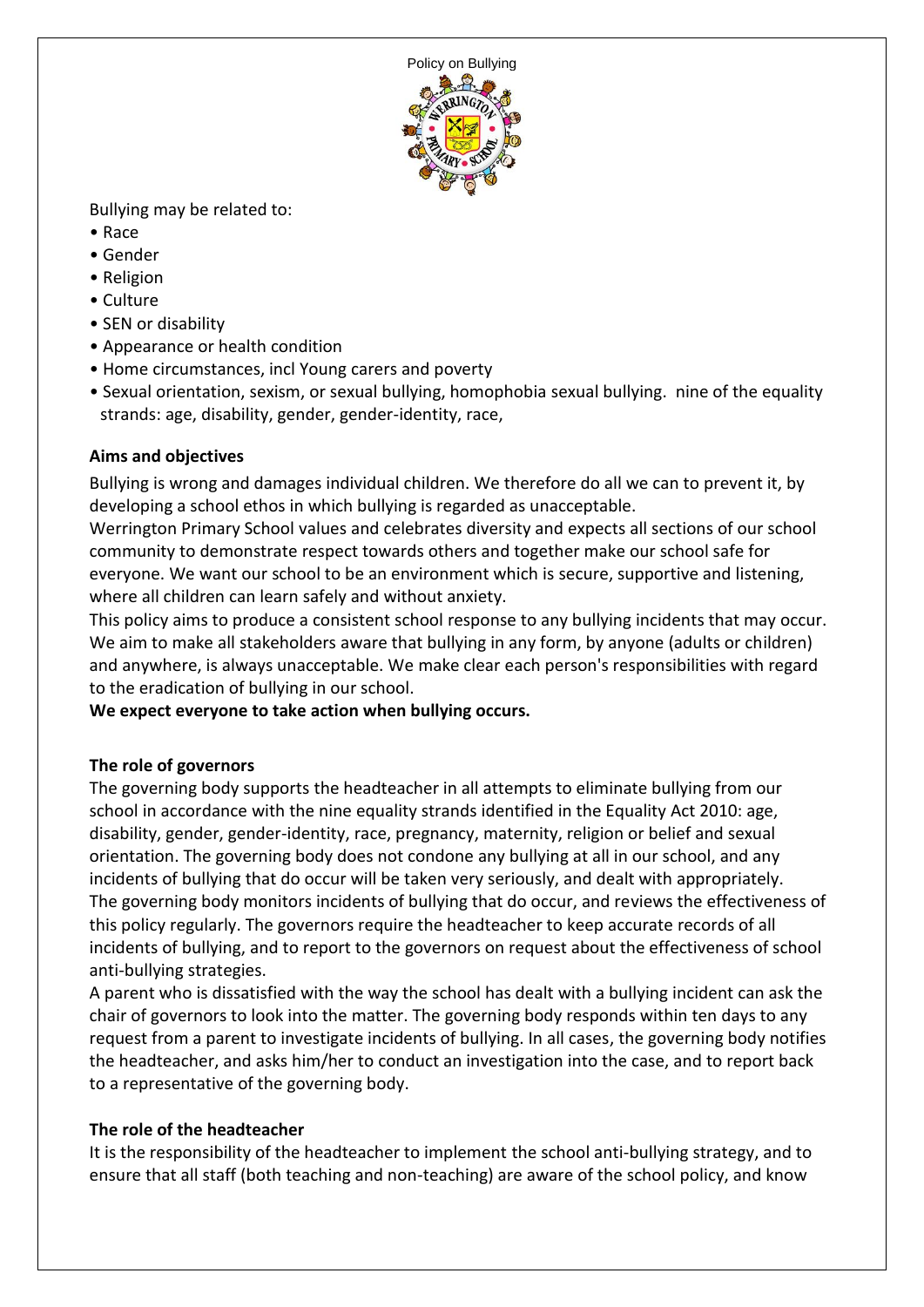

Bullying may be related to:

- Race
- Gender
- Religion
- Culture
- SEN or disability
- Appearance or health condition
- Home circumstances, incl Young carers and poverty
- Sexual orientation, sexism, or sexual bullying, homophobia sexual bullying. nine of the equality strands: age, disability, gender, gender-identity, race,

# **Aims and objectives**

Bullying is wrong and damages individual children. We therefore do all we can to prevent it, by developing a school ethos in which bullying is regarded as unacceptable.

Werrington Primary School values and celebrates diversity and expects all sections of our school community to demonstrate respect towards others and together make our school safe for everyone. We want our school to be an environment which is secure, supportive and listening, where all children can learn safely and without anxiety.

This policy aims to produce a consistent school response to any bullying incidents that may occur. We aim to make all stakeholders aware that bullying in any form, by anyone (adults or children) and anywhere, is always unacceptable. We make clear each person's responsibilities with regard to the eradication of bullying in our school.

**We expect everyone to take action when bullying occurs.** 

# **The role of governors**

The governing body supports the headteacher in all attempts to eliminate bullying from our school in accordance with the nine equality strands identified in the Equality Act 2010: age, disability, gender, gender-identity, race, pregnancy, maternity, religion or belief and sexual orientation. The governing body does not condone any bullying at all in our school, and any incidents of bullying that do occur will be taken very seriously, and dealt with appropriately. The governing body monitors incidents of bullying that do occur, and reviews the effectiveness of this policy regularly. The governors require the headteacher to keep accurate records of all incidents of bullying, and to report to the governors on request about the effectiveness of school anti-bullying strategies.

A parent who is dissatisfied with the way the school has dealt with a bullying incident can ask the chair of governors to look into the matter. The governing body responds within ten days to any request from a parent to investigate incidents of bullying. In all cases, the governing body notifies the headteacher, and asks him/her to conduct an investigation into the case, and to report back to a representative of the governing body.

# **The role of the headteacher**

It is the responsibility of the headteacher to implement the school anti-bullying strategy, and to ensure that all staff (both teaching and non-teaching) are aware of the school policy, and know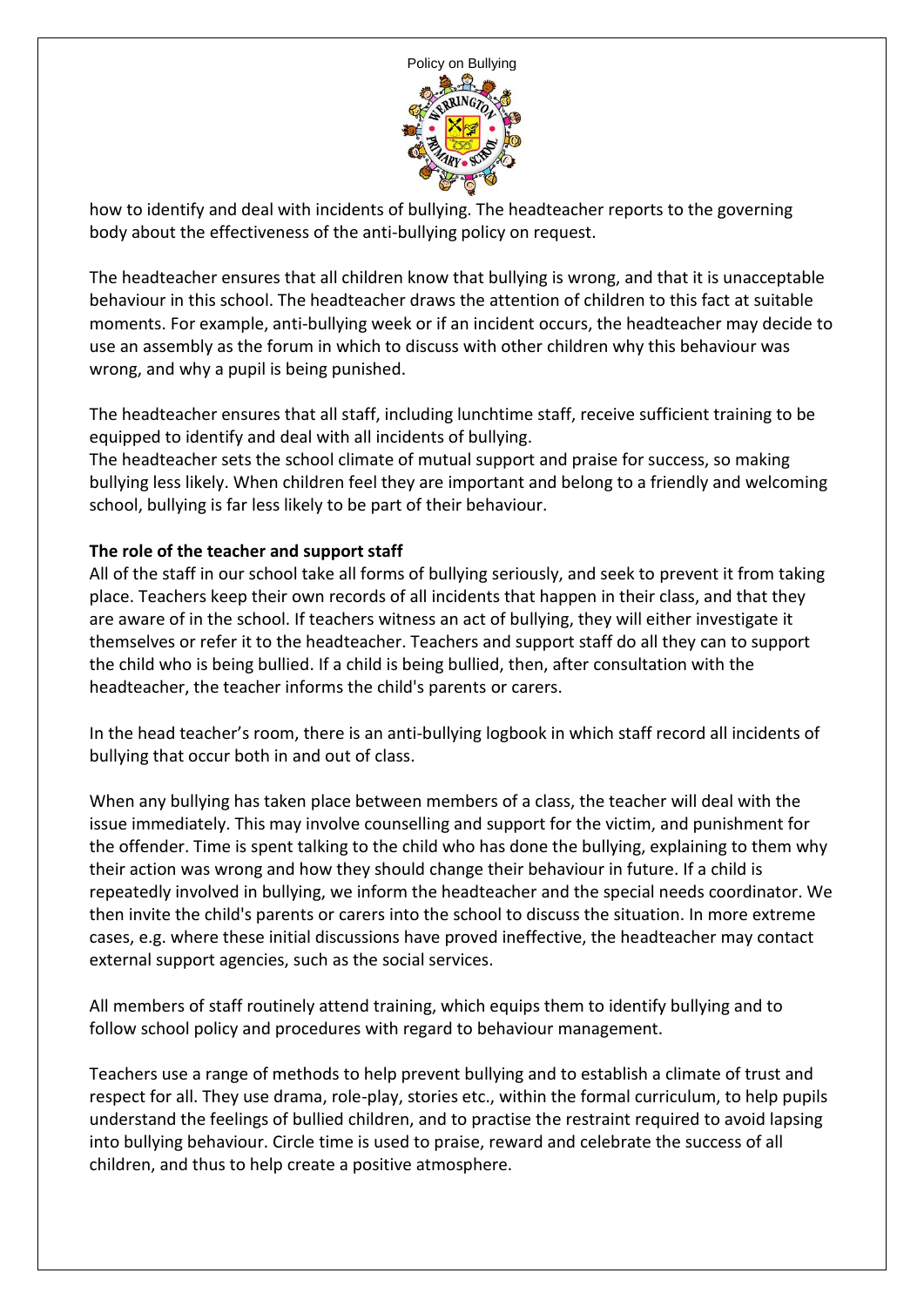

how to identify and deal with incidents of bullying. The headteacher reports to the governing body about the effectiveness of the anti-bullying policy on request.

The headteacher ensures that all children know that bullying is wrong, and that it is unacceptable behaviour in this school. The headteacher draws the attention of children to this fact at suitable moments. For example, anti-bullying week or if an incident occurs, the headteacher may decide to use an assembly as the forum in which to discuss with other children why this behaviour was wrong, and why a pupil is being punished.

The headteacher ensures that all staff, including lunchtime staff, receive sufficient training to be equipped to identify and deal with all incidents of bullying.

The headteacher sets the school climate of mutual support and praise for success, so making bullying less likely. When children feel they are important and belong to a friendly and welcoming school, bullying is far less likely to be part of their behaviour.

### **The role of the teacher and support staff**

All of the staff in our school take all forms of bullying seriously, and seek to prevent it from taking place. Teachers keep their own records of all incidents that happen in their class, and that they are aware of in the school. If teachers witness an act of bullying, they will either investigate it themselves or refer it to the headteacher. Teachers and support staff do all they can to support the child who is being bullied. If a child is being bullied, then, after consultation with the headteacher, the teacher informs the child's parents or carers.

In the head teacher's room, there is an anti-bullying logbook in which staff record all incidents of bullying that occur both in and out of class.

When any bullying has taken place between members of a class, the teacher will deal with the issue immediately. This may involve counselling and support for the victim, and punishment for the offender. Time is spent talking to the child who has done the bullying, explaining to them why their action was wrong and how they should change their behaviour in future. If a child is repeatedly involved in bullying, we inform the headteacher and the special needs coordinator. We then invite the child's parents or carers into the school to discuss the situation. In more extreme cases, e.g. where these initial discussions have proved ineffective, the headteacher may contact external support agencies, such as the social services.

All members of staff routinely attend training, which equips them to identify bullying and to follow school policy and procedures with regard to behaviour management.

Teachers use a range of methods to help prevent bullying and to establish a climate of trust and respect for all. They use drama, role-play, stories etc., within the formal curriculum, to help pupils understand the feelings of bullied children, and to practise the restraint required to avoid lapsing into bullying behaviour. Circle time is used to praise, reward and celebrate the success of all children, and thus to help create a positive atmosphere.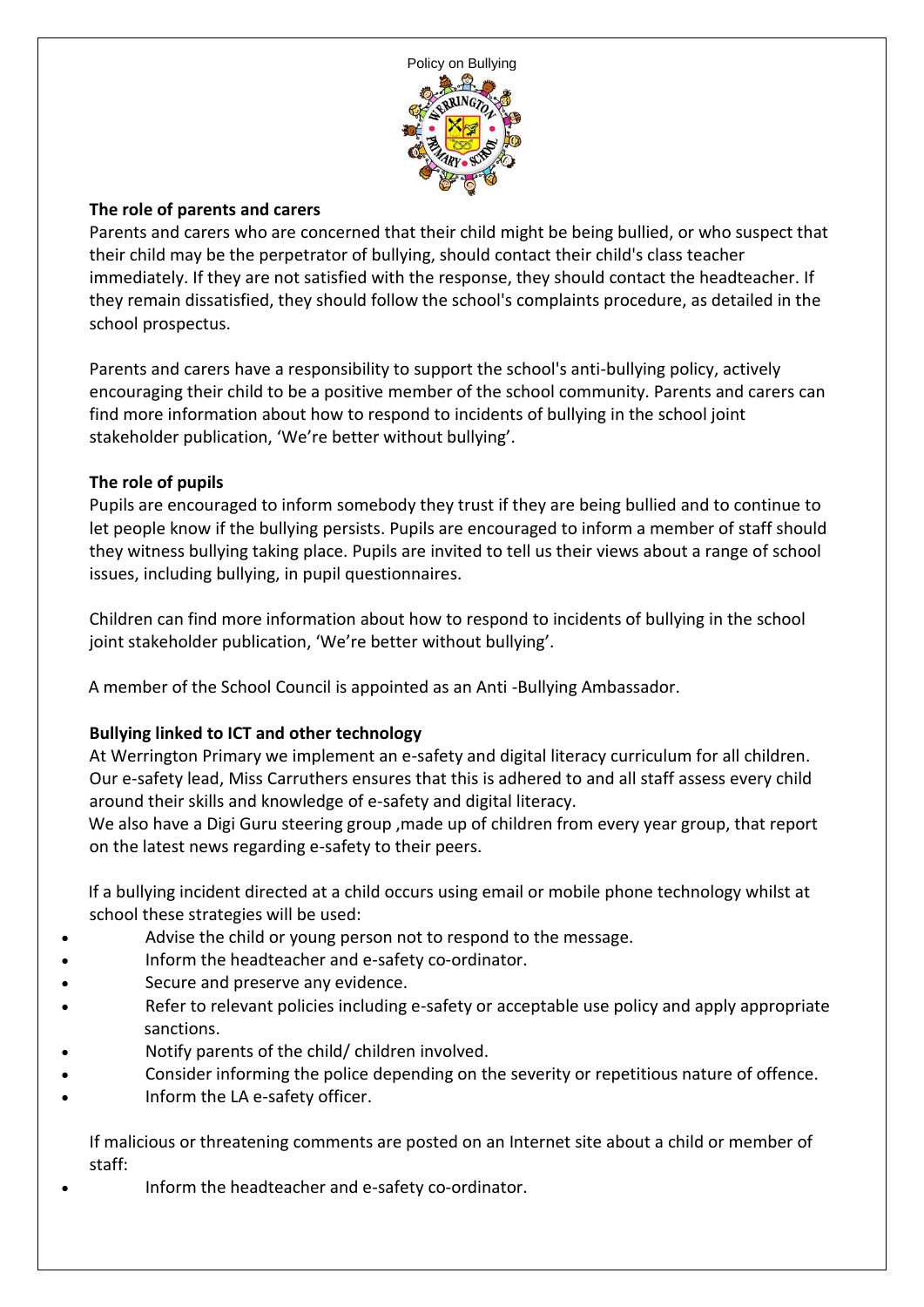

### **The role of parents and carers**

Parents and carers who are concerned that their child might be being bullied, or who suspect that their child may be the perpetrator of bullying, should contact their child's class teacher immediately. If they are not satisfied with the response, they should contact the headteacher. If they remain dissatisfied, they should follow the school's complaints procedure, as detailed in the school prospectus.

Parents and carers have a responsibility to support the school's anti-bullying policy, actively encouraging their child to be a positive member of the school community. Parents and carers can find more information about how to respond to incidents of bullying in the school joint stakeholder publication, 'We're better without bullying'.

### **The role of pupils**

Pupils are encouraged to inform somebody they trust if they are being bullied and to continue to let people know if the bullying persists. Pupils are encouraged to inform a member of staff should they witness bullying taking place. Pupils are invited to tell us their views about a range of school issues, including bullying, in pupil questionnaires.

Children can find more information about how to respond to incidents of bullying in the school joint stakeholder publication, 'We're better without bullying'.

A member of the School Council is appointed as an Anti -Bullying Ambassador.

# **Bullying linked to ICT and other technology**

At Werrington Primary we implement an e-safety and digital literacy curriculum for all children. Our e-safety lead, Miss Carruthers ensures that this is adhered to and all staff assess every child around their skills and knowledge of e-safety and digital literacy.

 We also have a Digi Guru steering group ,made up of children from every year group, that report on the latest news regarding e-safety to their peers.

 If a bullying incident directed at a child occurs using email or mobile phone technology whilst at school these strategies will be used:

- Advise the child or young person not to respond to the message.
- Inform the headteacher and e-safety co-ordinator.
- Secure and preserve any evidence.
- Refer to relevant policies including e-safety or acceptable use policy and apply appropriate sanctions.
- Notify parents of the child/ children involved.
- Consider informing the police depending on the severity or repetitious nature of offence.
- Inform the LA e-safety officer.

If malicious or threatening comments are posted on an Internet site about a child or member of staff:

Inform the headteacher and e-safety co-ordinator.